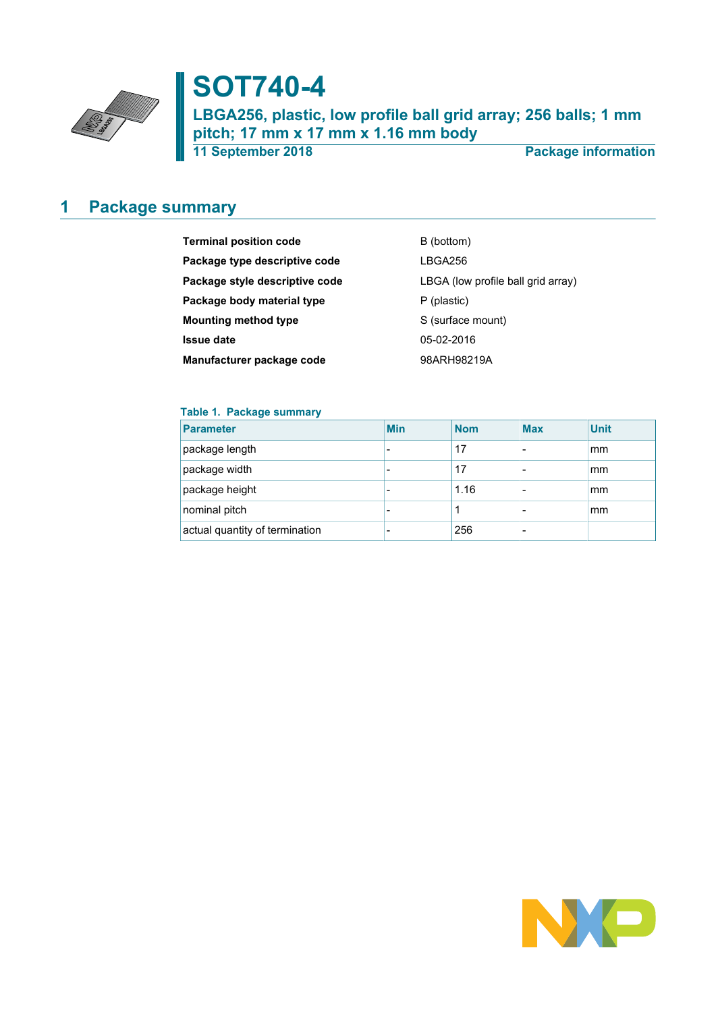

# **SOT740-4**

**LBGA256, plastic, low profile ball grid array; 256 balls; 1 mm pitch; 17 mm x 17 mm x 1.16 mm body**

**11 September 2018 Package information**

## <span id="page-0-0"></span>**1 Package summary**

| <b>Terminal position code</b>  | B (bottom)                         |
|--------------------------------|------------------------------------|
| Package type descriptive code  | LBGA256                            |
| Package style descriptive code | LBGA (low profile ball grid array) |
| Package body material type     | P (plastic)                        |
| <b>Mounting method type</b>    | S (surface mount)                  |
| <b>Issue date</b>              | 05-02-2016                         |
| Manufacturer package code      | 98ARH98219A                        |

### **Table 1. Package summary**

| <b>Parameter</b>               | <b>Min</b> | <b>Nom</b> | <b>Max</b>               | <b>Unit</b> |
|--------------------------------|------------|------------|--------------------------|-------------|
| package length                 |            | 17         |                          | mm          |
| package width                  | -          | 17         | $\overline{\phantom{0}}$ | mm          |
| package height                 |            | 1.16       |                          | mm          |
| nominal pitch                  |            |            |                          | mm          |
| actual quantity of termination |            | 256        |                          |             |

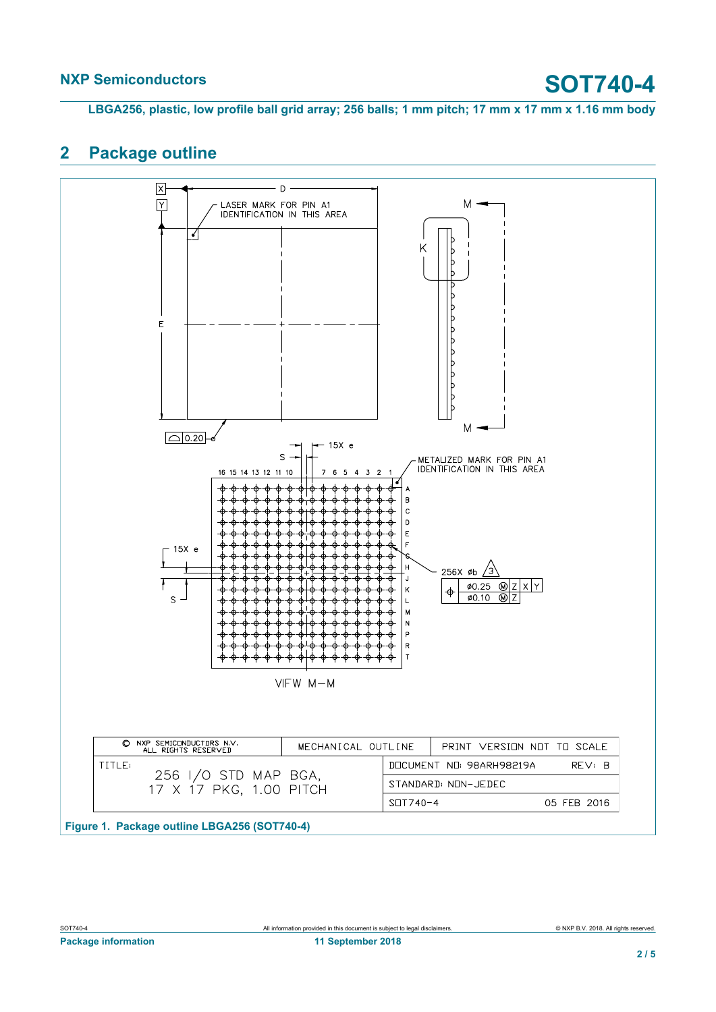# **NXP Semiconductors SOT740-4**

**LBGA256, plastic, low profile ball grid array; 256 balls; 1 mm pitch; 17 mm x 17 mm x 1.16 mm body**

## <span id="page-1-0"></span>**2 Package outline**

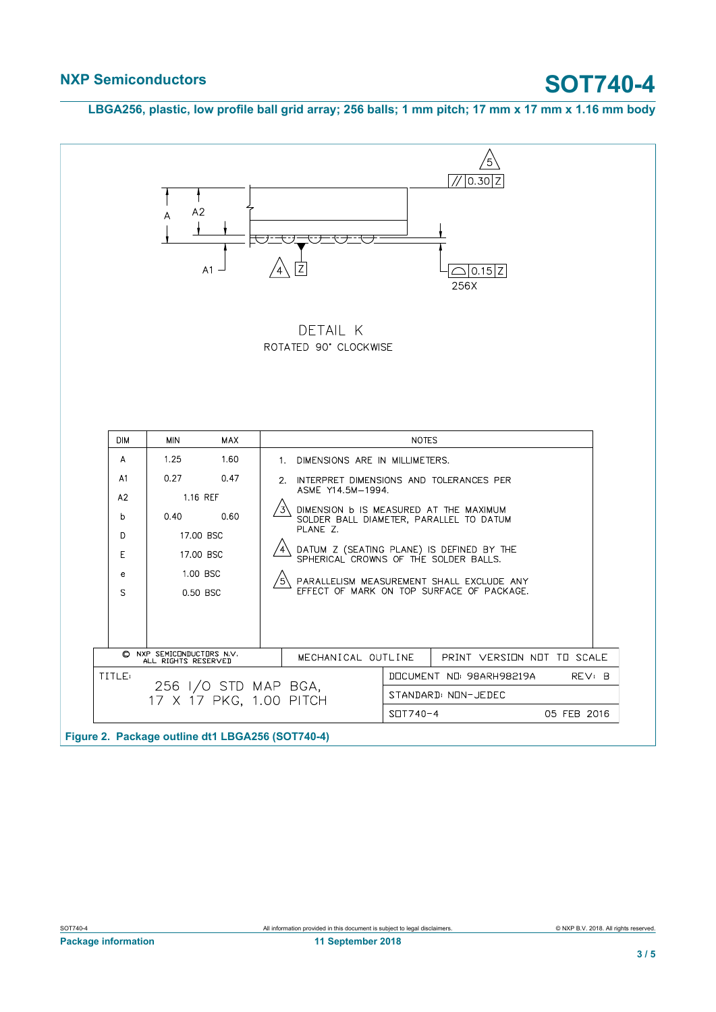**LBGA256, plastic, low profile ball grid array; 256 balls; 1 mm pitch; 17 mm x 17 mm x 1.16 mm body**



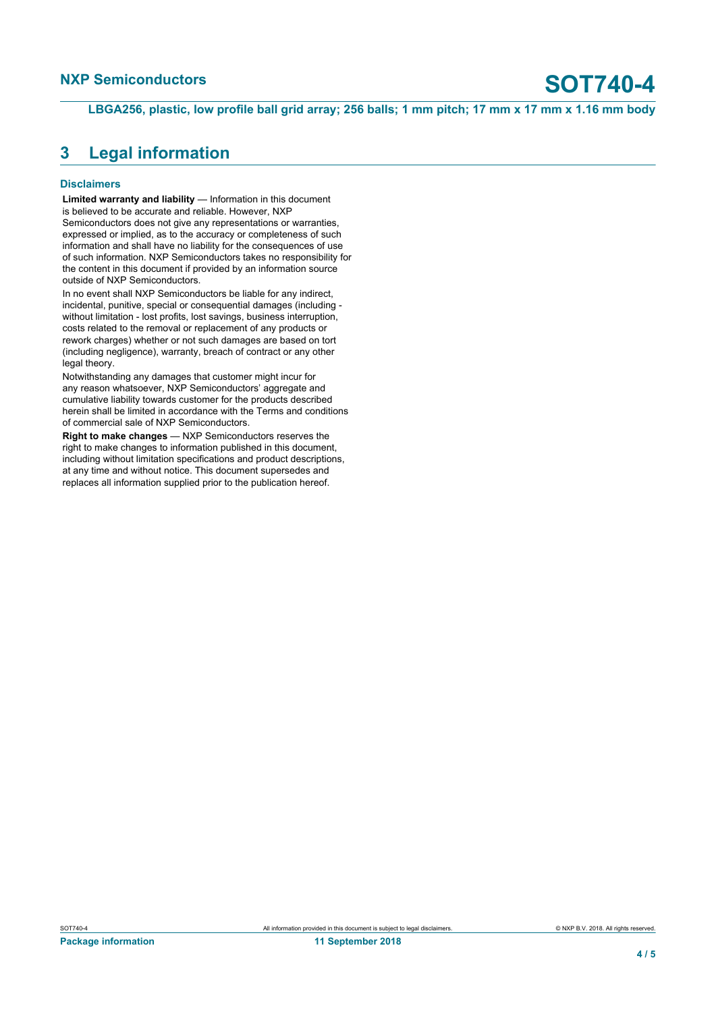**LBGA256, plastic, low profile ball grid array; 256 balls; 1 mm pitch; 17 mm x 17 mm x 1.16 mm body**

### <span id="page-3-0"></span>**3 Legal information**

### **Disclaimers**

**Limited warranty and liability** — Information in this document is believed to be accurate and reliable. However, NXP Semiconductors does not give any representations or warranties, expressed or implied, as to the accuracy or completeness of such information and shall have no liability for the consequences of use of such information. NXP Semiconductors takes no responsibility for the content in this document if provided by an information source outside of NXP Semiconductors.

In no event shall NXP Semiconductors be liable for any indirect, incidental, punitive, special or consequential damages (including without limitation - lost profits, lost savings, business interruption, costs related to the removal or replacement of any products or rework charges) whether or not such damages are based on tort (including negligence), warranty, breach of contract or any other legal theory.

Notwithstanding any damages that customer might incur for any reason whatsoever, NXP Semiconductors' aggregate and cumulative liability towards customer for the products described herein shall be limited in accordance with the Terms and conditions of commercial sale of NXP Semiconductors.

**Right to make changes** — NXP Semiconductors reserves the right to make changes to information published in this document, including without limitation specifications and product descriptions, at any time and without notice. This document supersedes and replaces all information supplied prior to the publication hereof.